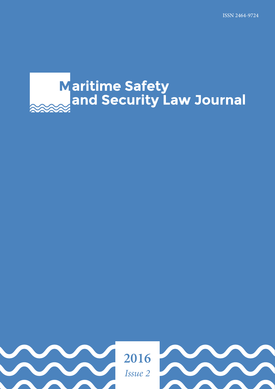# Maritime Safety<br>and Security Law Journal

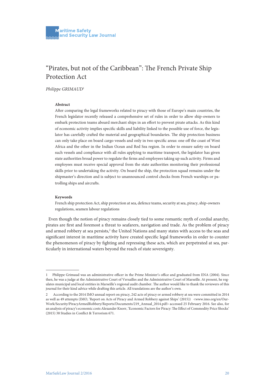# "Pirates, but not of the Caribbean": The French Private Ship Protection Act

*Philippe GRIMAUD*<sup>1</sup>

### **Abstract**

After comparing the legal frameworks related to piracy with those of Europe's main countries, the French legislator recently released a comprehensive set of rules in order to allow ship-owners to embark protection teams aboard merchant ships in an effort to prevent pirate attacks. As this kind of economic activity implies specific skills and liability linked to the possible use of force, the legislator has carefully crafted the material and geographical boundaries. The ship protection business can only take place on board cargo vessels and only in two specific areas: one off the coast of West Africa and the other in the Indian Ocean and Red Sea region. In order to ensure safety on board such vessels and compliance with all rules applying to maritime transport, the legislator has given state authorities broad power to regulate the firms and employees taking up such activity. Firms and employees must receive special approval from the state authorities monitoring their professional skills prior to undertaking the activity. On board the ship, the protection squad remains under the shipmaster's direction and is subject to unannounced control checks from French warships or patrolling ships and aircrafts.

### **Keywords**

French ship protection Act, ship protection at sea, defence teams, security at sea, piracy, ship-owners regulations, seamen labour regulations

Even though the notion of piracy remains closely tied to some romantic myth of cordial anarchy, pirates are first and foremost a threat to seafarers, navigation and trade. As the problem of piracy and armed robbery at sea persists, $2$  the United Nations and many states with access to the seas and significant interest in maritime activity have created specific legal frameworks in order to counter the phenomenon of piracy by fighting and repressing these acts, which are perpetrated at sea, particularly in international waters beyond the reach of state sovereignty.

<sup>1</sup> Philippe Grimaud was an administrative officer in the Prime Minister's office and graduated from ENA (2004). Since then, he was a judge at the Administrative Court of Versailles and the Administrative Court of Marseille. At present, he regulates municipal and local entities in Marseille's regional audit chamber. The author would like to thank the reviewers of this journal for their kind advice while drafting this article. All translations are the author's own.

<sup>2</sup> According to the 2014 IMO annual report on piracy, 242 acts of piracy or armed robbery at sea were committed in 2014 as well as 49 attempts (IMO, 'Report on Acts of Piracy and Armed Robbery against Ships' (2015)) <www.imo.org/en/Our-Work/Security/PiracyArmedRobbery/Reports/Documents/219\_Annual\_2014.pdf> accessed 25 February 2016. See also, for an analysis of piracy's economic costs Alexander Knorr, 'Economic Factors for Piracy: The Effect of Commodity Price Shocks' (2015) 38 Studies in Conflict & Terrorism 671.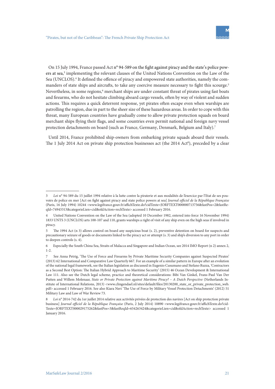On 15 July 1994, France passed Act n° 94-589 on the fight against piracy and the state's police powers at sea,3 implementing the relevant clauses of the United Nations Convention on the Law of the Sea (UNCLOS).<sup>4</sup> It defined the offence of piracy and empowered state authorities, namely the commanders of state ships and aircrafts, to take any coercive measure necessary to fight this scourge.<sup>5</sup> Nevertheless, in some regions,<sup>6</sup> merchant ships are under constant threat of pirates using fast boats and firearms, who do not hesitate climbing aboard cargo vessels, often by way of violent and sudden actions. This requires a quick deterrent response, yet pirates often escape even when warships are patrolling the region, due in part to the sheer size of these hazardous areas. In order to cope with this threat, many European countries have gradually come to allow private protection squads on board merchant ships flying their flags, and some countries even permit national and foreign navy vessel protection detachments on board (such as France, Germany, Denmark, Belgium and Italy).<sup>7</sup>

Until 2014, France prohibited ship-owners from embarking private squads aboard their vessels. The 1 July 2014 Act on private ship protection businesses act (the 2014 Act<sup>8</sup>), preceded by a clear

<sup>3</sup> *Loi* n° 94-589 du 15 juillet 1994 relative à la lutte contre la piraterie et aux modalités de l'exercice par l'Etat de ses pouvoirs de police en mer [Act on fight against piracy and state police powers at sea] *Journal officiel de la République Française*  (Paris, 16 July 1994) 10244 <www.legifrance.gouv.fr/affichTexte.do?cidTexte=JORFTEXT000000713756&fastPos=2&fastReqId=74943313&categorieLien=cid&oldAction=rechTexte> accessed 1 February 2016.

<sup>4</sup> United Nations Convention on the Law of the Sea (adopted 10 December 1982, entered into force 16 November 1994) 1833 UNTS 3 (UNCLOS) arts 100-107 and 110, grants warships a right of visit of any ship even on the high seas if involved in piracy.

<sup>5</sup> The 1994 Act (n 3) allows control on board any suspicious boat (s. 2), preventive detention on board for suspects and precautionary seizure of goods or documents linked to the piracy act or attempt (s. 3) and ship's diversion to any port in order to deepen controls (s. 4).

<sup>6</sup> Especially the South China Sea, Straits of Malacca and Singapore and Indian Ocean, see 2014 IMO Report (n 2) annex 2, 1-2.

<sup>7</sup> See Anna Petrig, 'The Use of Force and Firearms by Private Maritime Security Companies against Suspected Pirates' (2013) 62 International and Comparative Law Quarterly 667. For an example of a similar pattern in Europe after an evolution of the national legal framework, see the Italian legislation as discussed in Eugenio Cusumano and Stefano Ruzza, 'Contractors as a Second Best Option: The Italian Hybrid Approach to Maritime Security' (2015) 46 Ocean Development & International Law 111. Also see the Dutch legal scheme, practice and theoretical considerations: Bibi Van Ginkel, Frans-Paul Van Der Putten and Willem Molenaar, *State or Private Protection against Maritime Piracy? – A Dutch Perspective* (Netherlands Institute of International Relations, 2013) <www.clingendael.nl/sites/default/files/20130200\_state\_or\_private\_protection\_web. pdf> accessed 1 February 2016. See also Kiara Neri 'The Use of Force by Military Vessel Protection Detachments' (2012) 51 Military Law and Law of War Review 73.

<sup>8</sup> *Loi* n° 2014-742 du 1er juillet 2014 relative aux activités privées de protection des navires [Act on ship protection private business] *Journal officiel de la République Française* (Paris, 2 July 2014) 10890 <www.legifrance.gouv.fr/affichTexte.do?cid-Texte=JORFTEXT000029175262&fastPos=3&fastReqId=654263424&categorieLien=cid&oldAction=rechTexte> accessed 1 January 2016.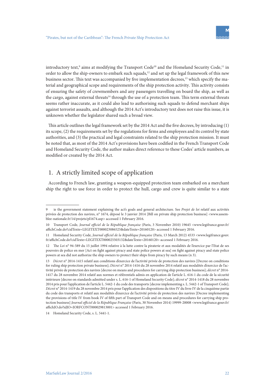introductory text,<sup>9</sup> aims at modifying the Transport Code<sup>10</sup> and the Homeland Security Code,<sup>11</sup> in order to allow the ship-owners to embark such squads,<sup>12</sup> and set up the legal framework of this new business sector. This text was accompanied by five implementation decrees,<sup>13</sup> which specify the material and geographical scope and requirements of the ship protection activity. This activity consists of ensuring the safety of crewmembers and any passengers travelling on board the ship, as well as the cargo, against external threats<sup>14</sup> through the use of a protection team. This term external threats seems rather inaccurate, as it could also lead to authorising such squads to defend merchant ships against terrorist assaults, and although the 2014 Act's introductory text does not raise this issue, it is unknown whether the legislator shared such a broad view.

This article outlines the legal framework set by the 2014 Act and the five decrees, by introducing (1) its scope, (2) the requirements set by the regulations for firms and employees and its control by state authorities, and (3) the practical and legal constraints related to the ship protection mission. It must be noted that, as most of the 2014 Act's provisions have been codified in the French Transport Code and Homeland Security Code, the author makes direct reference to these Codes' article numbers, as modified or created by the 2014 Act.

# 1. A strictly limited scope of application

According to French law, granting a weapon-equipped protection team embarked on a merchant ship the right to use force in order to protect the hull, cargo and crew is quite similar to a state

<sup>9</sup> ie the government statement explaining the act's goals and general architecture. See *Projet de loi* relatif aux activités privées de protection des navires, n° 1674, déposé le 3 janvier 2014 [Bill on private ship protection business] <www.assemblee-nationale.fr/14/projets/pl1674.asp> accessed 1 February 2016.

<sup>10</sup> Transport Code, *Journal officiel de la République française* (Paris, 3 November 2010) 19645 <www.legifrance.gouv.fr/ affichCode.do?cidTexte=LEGITEXT000023086525&dateTexte=20160120> accessed 1 February 2016.

<sup>11</sup> Homeland Security Code, *Journal officiel de la République française* (Paris, 13 March 2012) 4533 <www.legifrance.gouv. fr/affichCode.do?cidTexte=LEGITEXT000025503132&dateTexte=20160120> accessed 1 February 2016.

<sup>12</sup> The *Loi* n° 94-589 du 15 juillet 1994 relative à la lutte contre la piraterie et aux modalités de l'exercice par l'Etat de ses pouvoirs de police en mer [Act on fight against piracy and state police powers at sea] on fight against piracy and state police powers at sea did not authorize the ship owners to protect their ships from piracy by such means (n 3).

<sup>13</sup> *Décret* n° 2014-1415 relatif aux conditions d'exercice de l'activité privée de protection des navires [Decree on conditions for ruling ship protection private business]; *Décret* n° 2014-1416 du 28 novembre 2014 relatif aux modalités d'exercice de l'activité privée de protection des navires [decree on means and procedures for carrying ship protection business]; *décret* n° 2014- 1417 du 28 novembre 2014 relatif aux normes et référentiels admis en application de l'article L. 616-1 du code de la sécurité intérieure [decree on standards admitted under s. L. 616-1 of Homeland Security Code]; *décret* n° 2014-1418 du 28 novembre 2014 pris pour l'application de l'article L. 5442-1 du code des transports [decree implementing s. L. 5442-1 of Transport Code]; *Décret* n° 2014-1419 du 28 novembre 2014 pris pour l'application des dispositions du titre IV du livre IV de la cinquième partie du code des transports et relatif aux modalités d'exercice de l'activité privée de protection des navires [Decree implementing the provisions of title IV from book IV of fifth part of Transport Code and on means and procedures for carrying ship protection business] *Journal officiel de la République Française* (Paris, 30 November 2014) 19999-20008 <www.legifrance.gouv.fr/ affichJO.do?idJO=JORFCONT000029813001> accessed 1 February 2016.

<sup>14</sup> Homeland Security Code, s. L. 5441-1.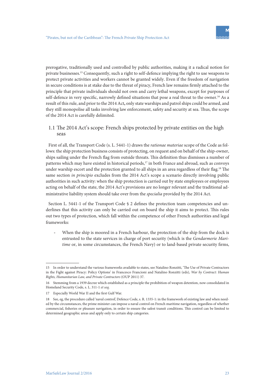prerogative, traditionally used and controlled by public authorities, making it a radical notion for private businesses.15 Consequently, such a right to self-defence implying the right to use weapons to protect private activities and workers cannot be granted widely. Even if the freedom of navigation in secure conditions is at stake due to the threat of piracy, French law remains firmly attached to the principle that private individuals should not own and carry lethal weapons, except for purposes of self-defence in very specific, narrowly defined situations that pose a real threat to the owner.<sup>16</sup> As a result of this rule, and prior to the 2014 Act**,** only state warships and patrol ships could be armed, and they still monopolise all tasks involving law enforcement, safety and security at sea. Thus, the scope of the 2014 Act is carefully delimited.

### 1.1 The 2014 Act's scope: French ships protected by private entities on the high seas

First of all, the Transport Code (s. L. 5441-1) draws the *rationae materiae* scope of the Code as follows: the ship protection business consists of protecting, on request and on behalf of the ship-owner, ships sailing under the French flag from outside threats. This definition thus dismisses a number of patterns which may have existed in historical periods,<sup>17</sup> in both France and abroad, such as convoys under warship escort and the protection granted to all ships in an area regardless of their flag.<sup>18</sup> The same section *in principio* excludes from the 2014 Act's scope a scenario directly involving public authorities in such activity: when the ship protection is carried out by state employees or employees acting on behalf of the state, the 2014 Act's provisions are no longer relevant and the traditional administrative liability system should take over from the *specialia* provided by the 2014 Act.

Section L. 5441-1 of the Transport Code § 2 defines the protection team competencies and underlines that this activity can only be carried out on board the ship it aims to protect. This rules out two types of protection, which fall within the competence of other French authorities and legal frameworks:

When the ship is moored in a French harbour, the protection of the ship from the dock is entrusted to the state services in charge of port security (which is the *Gendarmerie Maritime* or, in some circumstances, the French Navy) or to land-based private security firms,

<sup>15</sup> In order to understand the various frameworks available to states, see Natalino Ronzitti, 'The Use of Private Contractors in the Fight against Piracy: Policy Options' in Francesco Francioni and Natalino Ronzitti (eds), *War by Contract: Human Rights, Humanitarian Law, and Private Contractors* (OUP 2011) 37.

<sup>16</sup> Stemming from a 1939 decree which established as a principle the prohibition of weapon detention, now consolidated in Homeland Security Code, s. L. 311-1 *et seq*.

<sup>17</sup> Especially World War II and the first Gulf War.

<sup>18</sup> See, eg, the procedure called 'naval control', Defence Code, s. R. 1335-1: in the framework of existing law and when needed by the circumstances, the prime minister can impose a naval control on French maritime navigation, regardless of whether commercial, fisheries or pleasure navigation, in order to ensure the safest transit conditions. This control can be limited to determined geographic areas and apply only to certain ship categories.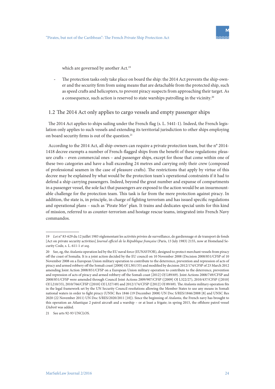which are governed by another Act.<sup>19</sup>

The protection tasks only take place on board the ship: the 2014 Act prevents the ship-owner and the security firm from using means that are detachable from the protected ship, such as speed crafts and helicopters, to prevent piracy suspects from approaching their target. As a consequence, such action is reserved to state warships patrolling in the vicinity.<sup>20</sup>

### 1.2 The 2014 Act only applies to cargo vessels and empty passenger ships

The 2014 Act applies to ships sailing under the French flag (s. L. 5441-1). Indeed, the French legislation only applies to such vessels and extending its territorial jurisdiction to other ships employing on board security firms is out of the question.<sup>21</sup>

According to the 2014 Act, all ship-owners can require a private protection team, but the n° 2014- 1418 decree exempts a number of French-flagged ships from the benefit of these regulations: pleasure crafts – even commercial ones – and passenger ships, except for those that come within one of these two categories and have a hull exceeding 24 metres and carrying only their crew (composed of professional seamen in the case of pleasure crafts). The restrictions that apply by virtue of this decree may be explained by what would be the protection team's operational constraints if it had to defend a ship carrying passengers. Indeed, beyond the great number and expanse of compartments in a passenger vessel, the sole fact that passengers are exposed to the action would be an insurmountable challenge for the protection team. This task is far from the mere protection against piracy. In addition, the state is, in principle, in charge of fighting terrorism and has issued specific regulations and operational plans – such as 'Pirate Mer' plan. It trains and dedicates special units for this kind of mission, referred to as counter-terrorism and hostage rescue teams, integrated into French Navy commandos.

<sup>19</sup> *Loi* n° 83-629 du 12 juillet 1983 règlementant les activités privées de surveillance, de gardiennage et de transport de fonds [Act on private security activities] *Journal officiel de la République française* (Paris, 13 July 1983) 2155, now at Homeland Security Code, s. L. 611-1 *et seq*.

<sup>20</sup> See, eg, the *Atalanta* operation led by the EU naval force (EUNAVFOR), designed to protect merchant vessels from piracy off the coast of Somalia. It is a joint action decided by the EU council on 10 November 2008 (Decision 2008/851/CFSP of 10 November 2008 on a European Union military operation to contribute to the deterrence, prevention and repression of acts of piracy and armed robbery off the Somali coast [2008] OJ L301/33) and modified by decision 2012/174/CFSP of 23 March 2012 amending Joint Action 2008/851/CFSP on a European Union military operation to contribute to the deterrence, prevention and repression of acts of piracy and armed robbery off the Somali coast [2012] OJ L89/69). Joint Actions 2008/749/CFSP and 2008/851/CFSP were amended through Council Joint Actions 2009/907/CFSP ([2009] OJ L322/27), 2010/437/CFSP ([2010] OJ L210/33), 2010/766/CFSP ([2010] OJ L327/49) and 2012/174/CFSP ([2012] OJ 89/69). The *Atalanta* military operation fits in the legal framework set by the UN Security Council resolutions allowing the Member States to use any means in Somali national waters in order to fight piracy (UNSC Res 1846 (19 December 2008) UN Doc S/RES/1846/2008 [8] and UNSC Res 2020 (22 November 2011) UN Doc S/RES/2020/2011 [10]). Since the beginning of *Atalanta*, the French navy has brought to this operation an Atlantique 2 patrol aircraft and a warship – or at least a frigate; in spring 2015, the offshore patrol vessel *L'Adroit* was added.

<sup>21</sup> See arts 92-93 UNCLOS.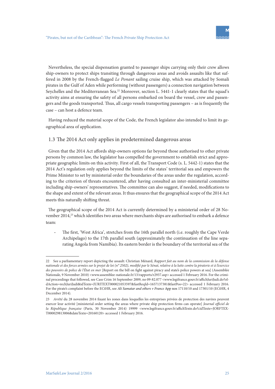Nevertheless, the special dispensation granted to passenger ships carrying only their crew allows ship-owners to protect ships transiting through dangerous areas and avoids assaults like that suffered in 2008 by the French-flagged *Le Ponant* sailing cruise ship, which was attacked by Somali pirates in the Gulf of Aden while performing (without passengers) a connection navigation between Seychelles and the Mediterranean Sea.<sup>22</sup> Moreover, section L. 5441-1 clearly states that the squad's activity aims at ensuring the safety of all persons embarked on board the vessel, crew and passengers and the goods transported. Thus, all cargo vessels transporting passengers – as is frequently the case – can host a defence team.

Having reduced the material scope of the Code, the French legislator also intended to limit its geographical area of application.

### 1.3 The 2014 Act only applies in predetermined dangerous areas

Given that the 2014 Act affords ship-owners options far beyond those authorised to other private persons by common law, the legislator has compelled the government to establish strict and appropriate geographic limits on this activity. First of all, the Transport Code (s. L. 5442-1) states that the 2014 Act's regulation only applies beyond the limits of the states' territorial sea and empowers the Prime Minister to set by ministerial order the boundaries of the areas under the regulation, according to the criterion of threats encountered, after having consulted an inter-ministerial committee including ship-owners' representatives. The committee can also suggest, if needed, modifications to the shape and extent of the relevant areas. It thus ensures that the geographical scope of the 2014 Act meets this naturally shifting threat.

The geographical scope of the 2014 Act is currently determined by a ministerial order of 28 November 2014,<sup>23</sup> which identifies two areas where merchants ships are authorised to embark a defence team:

The first, 'West Africa', stretches from the 16th parallel north (i.e. roughly the Cape Verde Archipelago) to the 17th parallel south (approximately the continuation of the line separating Angola from Namibia). Its eastern border is the boundary of the territorial sea of the

<sup>22</sup> See a parliamentary report depicting the assault: Christian Ménard, *Rapport fait au nom de la commission de la défense nationale et des forces armées sur le projet de loi (n° 2502), modifié par le Sénat, relative à la lutte contre la piraterie et à l'exercice des pouvoirs de police de l'État en mer* [Report on the bill on fight against piracy and state's police powers at sea] (Assemblée Nationale, 9 November 2010) <www.assemblee-nationale.fr/13/rapports/r2937.asp> accessed 1 February 2016. For the criminal proceedings that followed, see Cass Crim 16 September 2009, no 09-82.077 <www.legifrance.gouv.fr/affichJuriJudi.do?oldAction=rechJuriJudi&idTexte=JURITEXT000021053597&fastReqId=1657137381&fastPos=22> accessed 1 February 2016. For the pirate's complaint before the ECtHR, see *Ali Samatar and others v France* App nos 17110/10 and 17301/10 (ECtHR, 4 December 2014)*.*

<sup>23</sup> *Arrêté* du 28 novembre 2014 fixant les zones dans lesquelles les entreprises privées de protection des navires peuvent exercer leur activité [ministerial order setting the areas where private ship protection firms can operate] *Journal officiel de la République française* (Paris, 30 November 2014) 19999 <www.legifrance.gouv.fr/affichTexte.do?cidTexte=JORFTEX-T000029813006&dateTexte=20160120> accessed 1 February 2016.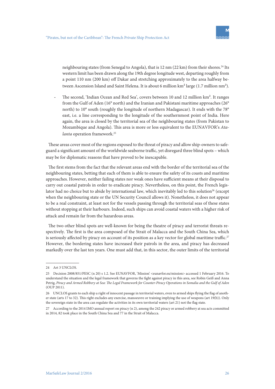neighbouring states (from Senegal to Angola), that is 12 nm (22 km) from their shores.<sup>24</sup> Its western limit has been drawn along the 19th degree longitude west, departing roughly from a point 110 nm (200 km) off Dakar and stretching approximately to the area halfway between Ascension Island and Saint Helena. It is about 6 million km² large (1.7 million nm²).

The second, 'Indian Ocean and Red Sea', covers between 10 and 12 million km<sup>2</sup>. It ranges from the Gulf of Aden (16° north) and the Iranian and Pakistani maritime approaches (26° north) to 10° south (roughly the longitude of northern Madagascar). It ends with the 78° east, i.e. a line corresponding to the longitude of the southernmost point of India. Here again, the area is closed by the territorial sea of the neighbouring states (from Pakistan to Mozambique and Angola). This area is more or less equivalent to the EUNAVFOR's *Ata*lanta operation framework.<sup>25</sup>

These areas cover most of the regions exposed to the threat of piracy and allow ship-owners to safeguard a significant amount of the worldwide seaborne traffic, yet disregard three blind spots – which may be for diplomatic reasons that have proved to be inescapable.

The first stems from the fact that the relevant areas end with the border of the territorial sea of the neighbouring states, betting that each of them is able to ensure the safety of its coasts and maritime approaches. However, neither failing states nor weak ones have sufficient means at their disposal to carry out coastal patrols in order to eradicate piracy. Nevertheless, on this point, the French legislator had no choice but to abide by international law, which inevitably led to this solution<sup>26</sup> (except when the neighbouring state or the UN Security Council allows it). Nonetheless, it does not appear to be a real constraint, at least not for the vessels passing through the territorial seas of these states without stopping at their harbours. Indeed, such ships can avoid coastal waters with a higher risk of attack and remain far from the hazardous areas.

The two other blind spots are well-known for being the theatre of piracy and terrorist threats respectively. The first is the area composed of the Strait of Malacca and the South China Sea, which is seriously affected by piracy on account of its position as a key vector for global maritime traffic.<sup>27</sup> However, the bordering states have increased their patrols in the area, and piracy has decreased markedly over the last ten years. One must add that, in this sector, the outer limits of the territorial

<sup>24</sup> Art 3 UNCLOS.

<sup>25</sup> Decision 2008/851/PESC (n 20) s 1.2. See EUNAVFOR, 'Mission' <eunavfor.eu/mission> accessed 1 February 2016. To understand the situation and the legal framework that governs the fight against piracy in this area, see Robin Geiß and Anna Petrig, *Piracy and Armed Robbery at Sea: The Legal Framework for Counter-Piracy Operations in Somalia and the Gulf of Aden*  (OUP 2011).

<sup>26</sup> UNCLOS grants to each ship a right of innocent passage in territorial waters, even to armed ships flying the flag of another state (arts 17 to 32). This right excludes any exercise, manoeuvre or training implying the use of weapons (art 19(b)). Only the sovereign state in the area can regulate the activities in its own territorial waters (art 21) not the flag state.

<sup>27</sup> According to the 2014 IMO annual report on piracy (n 2), among the 242 piracy or armed robbery at sea acts committed in 2014, 82 took place in the South China Sea and 77 in the Strait of Malacca.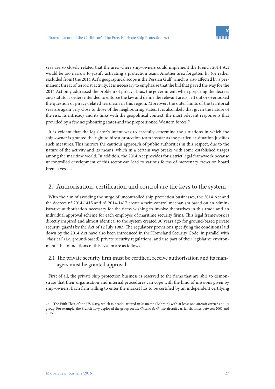seas are so closely related that the area where ship-owners could implement the French 2014 Act would be too narrow to justify activating a protection team. Another area forgotten by (or rather excluded from) the 2014 Act's geographical scope is the Persian Gulf, which is also affected by a permanent threat of terrorist activity. It is necessary to emphasise that the bill that paved the way for the 2014 Act only addressed the problem of piracy. Thus, the government, when preparing the decrees and statutory orders intended to enforce the law and define the relevant areas, left out or overlooked the question of piracy-related terrorism in this region. Moreover, the outer limits of the territorial seas are again very close to those of the neighbouring states. It is also likely that given the nature of the risk, its intricacy and its links with the geopolitical context, the most relevant response is that provided by a few neighbouring states and the prepositioned Western forces.<sup>28</sup>

It is evident that the legislator's intent was to carefully determine the situations in which the ship-owner is granted the right to hire a protection team insofar as the particular situation justifies such measures. This mirrors the cautious approach of public authorities in this respect, due to the nature of the activity and its means, which in a certain way breaks with some established usages among the maritime world. In addition, the 2014 Act provides for a strict legal framework because uncontrolled development of this sector can lead to various forms of mercenary crews on board French vessels.

# 2. Authorisation, certification and control are the keys to the system

With the aim of avoiding the surge of uncontrolled ship protection businesses, the 2014 Act and the decrees n° 2014-1415 and n° 2014-1417 create a twin control mechanism based on an administrative authorisation necessary for the firms wishing to involve themselves in this trade and an individual approval scheme for each employee of maritime security firms. This legal framework is directly inspired and almost identical to the system created 30 years ago for ground-based private security guards by the Act of 12 July 1983. The regulatory provisions specifying the conditions laid down by the 2014 Act have also been introduced in the Homeland Security Code, in parallel with 'classical' (i.e. ground-based) private security regulations, and use part of their legislative environment. The foundations of this system are as follows.

### 2.1 The private security firm must be certified, receive authorisation and its managers must be granted approval

First of all, the private ship protection business is reserved to the firms that are able to demonstrate that their organisation and internal procedures can cope with the kind of missions given by ship-owners. Each firm willing to enter the market has to be certified by an independent certifying

<sup>28</sup> The Fifth Fleet of the US Navy, which is headquartered in Manama (Bahrain) with at least one aircraft carrier and its group. For example, the French navy deployed the group on the *Charles de Gaulle* aircraft carrier six times between 2001 and 2015.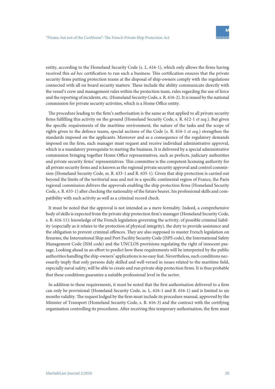entity, according to the Homeland Security Code (s. L. 616-1), which only allows the firms having received this *ad hoc* certification to run such a business. This certification ensures that the private security firms putting protection teams at the disposal of ship-owners comply with the regulations connected with all on board security matters. These include the ability communicate directly with the vessel's crew and management rules within the protection team, rules regarding the use of force and the reporting of incidents, etc. (Homeland Security Code, s. R. 616-2). It is issued by the national commission for private security activities, which is a Home Office entity.

The procedure leading to the firm's authorisation is the same as that applied to all private security firms fulfilling this activity on the ground (Homeland Security Code, s. R. 612-1 *et seq.*). But given the specific requirements of the maritime environment, the nature of the tasks and the scope of rights given to the defence teams, special sections of the Code (s. R. 616-1 *et seq.*) strengthen the standards imposed on the applicants. Moreover and as a consequence of the regulatory demands imposed on the firm, each manager must request and receive individual administrative approval, which is a mandatory prerequisite to starting the business. It is delivered by a special administrative commission bringing together Home Office representatives, such as prefects, judiciary authorities and private security firms' representatives. This committee is the competent licensing authority for all private security firms and is known as the regional private security approval and control commission (Homeland Security Code, ss. R. 633-1 and R. 635-1). Given that ship protection is carried out beyond the limits of the territorial seas and not in a specific continental region of France, the Paris regional commission delivers the approvals enabling the ship protection firms (Homeland Security Code, s. R. 633-1) after checking the nationality of the future bearer, his professional skills and compatibility with such activity as well as a criminal record check.

It must be noted that the approval is not intended as a mere formality. Indeed, a comprehensive body of skills is expected from the private ship protection firm's manager (Homeland Security Code, s. R. 616-11): knowledge of the French legislation governing the activity, of possible criminal liability (especially as it relates to the protection of physical integrity), the duty to provide assistance and the obligation to prevent criminal offences. They are also supposed to master French legislation on firearms, the International Ship and Port Facility Security Code (ISPS code), the International Safety Management Code (ISM code) and the UNCLOS provisions regulating the right of innocent passage. Looking ahead in an effort to predict how these requirements will be interpreted by the public authorities handling the ship-owners' applications is no easy feat. Nevertheless, such conditions necessarily imply that only persons duly skilled and well-versed in issues related to the maritime field, especially naval safety, will be able to create and run private ship protection firms. It is thus probable that these conditions guarantee a suitable professional level in the sector.

In addition to these requirements, it must be noted that the first authorisation delivered to a firm can only be provisional (Homeland Security Code, ss. L. 616-1 and R. 616-1) and is limited to six months validity. The request lodged by the firm must include its procedure manual, approved by the Minister of Transport (Homeland Security Code, s. R. 616-3) and the contract with the certifying organisation controlling its procedures. After receiving this temporary authorisation, the firm must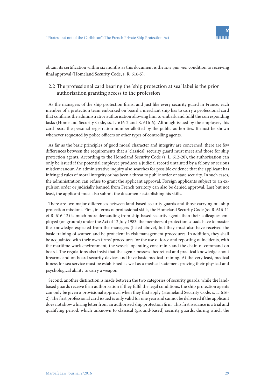

obtain its certification within six months as this document is the *sine qua non* condition to receiving final approval (Homeland Security Code, s. R. 616-5).

## 2.2 The professional card bearing the 'ship protection at sea' label is the prior authorisation granting access to the profession

As the managers of the ship protection firms, and just like every security guard in France, each member of a protection team embarked on board a merchant ship has to carry a professional card that confirms the administrative authorisation allowing him to embark and fulfil the corresponding tasks (Homeland Security Code, ss. L. 616-2 and R. 616-6). Although issued by the employer, this card bears the personal registration number allotted by the public authorities. It must be shown whenever requested by police officers or other types of controlling agents.

As far as the basic principles of good moral character and integrity are concerned, there are few differences between the requirements that a 'classical' security guard must meet and those for ship protection agents. According to the Homeland Security Code (s. L. 612-20), the authorisation can only be issued if the potential employee produces a judicial record untainted by a felony or serious misdemeanour. An administrative inquiry also searches for possible evidence that the applicant has infringed rules of moral integrity or has been a threat to public order or state security. In such cases, the administration can refuse to grant the applicant approval. Foreign applicants subject to an expulsion order or judicially banned from French territory can also be denied approval. Last but not least, the applicant must also submit the documents establishing his skills.

There are two major differences between land-based security guards and those carrying out ship protection missions. First, in terms of professional skills, the Homeland Security Code (ss. R. 616-11 et R. 616-12) is much more demanding from ship-based security agents than their colleagues employed (on ground) under the Act of 12 July 1983: the members of protection squads have to master the knowledge expected from the managers (listed above), but they must also have received the basic training of seamen and be proficient in risk management procedures. In addition, they shall be acquainted with their own firms' procedures for the use of force and reporting of incidents, with the maritime work environment, the vessels' operating constraints and the chain of command on board. The regulations also insist that the agents possess theoretical and practical knowledge about firearms and on board security devices and have basic medical training. At the very least, medical fitness for sea service must be established as well as a medical statement proving their physical and psychological ability to carry a weapon.

Second, another distinction is made between the two categories of security guards: while the landbased guards receive firm authorisation if they fulfil the legal conditions, the ship protection agents can only be given a provisional approval when they first apply (Homeland Security Code, s. L. 616- 2). The first professional card issued is only valid for one year and cannot be delivered if the applicant does not show a hiring letter from an authorised ship protection firm. This first issuance is a trial and qualifying period, which unknown to classical (ground-based) security guards, during which the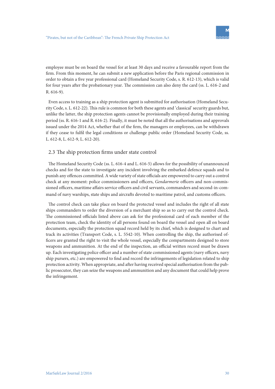employee must be on board the vessel for at least 30 days and receive a favourable report from the firm. From this moment, he can submit a new application before the Paris regional commission in order to obtain a five year professional card (Homeland Security Code, s. R. 612-13), which is valid for four years after the probationary year. The commission can also deny the card (ss. L. 616-2 and R. 616-9).

Even access to training as a ship protection agent is submitted for authorisation (Homeland Security Code, s. L. 612-22). This rule is common for both these agents and 'classical' security guards but, unlike the latter, the ship protection agents cannot be provisionally employed during their training period (ss. R. 616-1 and R. 616-2). Finally, it must be noted that all the authorisations and approvals issued under the 2014 Act, whether that of the firm, the managers or employees, can be withdrawn if they cease to fulfil the legal conditions or challenge public order (Homeland Security Code, ss. L. 612-8, L. 612-9, L. 612-20).

### 2.3 The ship protection firms under state control

The Homeland Security Code (ss. L. 616-4 and L. 616-5) allows for the possibility of unannounced checks and for the state to investigate any incident involving the embarked defence squads and to punish any offences committed. A wide variety of state officials are empowered to carry out a control check at any moment: police commissioners and officers, *Gendarmerie* officers and non-commissioned officers, maritime affairs service officers and civil servants, commanders and second-in-command of navy warships, state ships and aircrafts devoted to maritime patrol, and customs officers.

The control check can take place on board the protected vessel and includes the right of all state ships commanders to order the diversion of a merchant ship so as to carry out the control check. The commissioned officials listed above can ask for the professional card of each member of the protection team, check the identity of all persons found on board the vessel and open all on board documents, especially the protection squad record held by its chief, which is designed to chart and track its activities (Transport Code, s. L. 5542-10). When controlling the ship, the authorised officers are granted the right to visit the whole vessel, especially the compartments designed to store weapons and ammunition. At the end of the inspection, an official written record must be drawn up. Each investigating police officer and a number of state commissioned agents (navy officers, navy ship pursers, etc.) are empowered to find and record the infringements of legislation related to ship protection activity. When appropriate, and after having received special authorisation from the public prosecutor, they can seize the weapons and ammunition and any document that could help prove the infringement.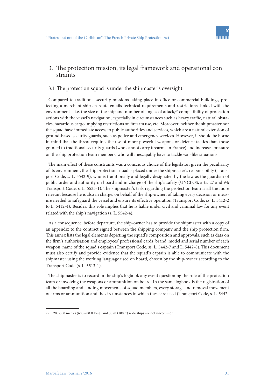

# 3. The protection mission, its legal framework and operational con straints

### 3.1 The protection squad is under the shipmaster's oversight

Compared to traditional security missions taking place in office or commercial buildings, protecting a merchant ship en route entails technical requirements and restrictions, linked with the environment – i.e. the size of the ship and number of angles of attack,<sup>29</sup> compatibility of protection actions with the vessel's navigation, especially in circumstances such as heavy traffic, natural obstacles, hazardous cargo implying restrictions on firearm use, etc. Moreover, neither the shipmaster nor the squad have immediate access to public authorities and services, which are a natural extension of ground-based security guards, such as police and emergency services. However, it should be borne in mind that the threat requires the use of more powerful weapons or defence tactics than those granted to traditional security guards (who cannot carry firearms in France) and increases pressure on the ship protection team members, who will inescapably have to tackle war-like situations.

The main effect of these constraints was a conscious choice of the legislator: given the peculiarity of its environment, the ship protection squad is placed under the shipmaster's responsibility (Transport Code, s. L. 5542-9), who is traditionally and legally designated by the law as the guardian of public order and authority on board and in charge of the ship's safety (UNCLOS, arts. 27 and 94; Transport Code, s. L. 5535-1). The shipmaster's task regarding the protection team is all the more relevant because he is also in charge, on behalf of the ship-owner, of taking every decision or measure needed to safeguard the vessel and ensure its effective operation (Transport Code, ss. L. 5412-2 to L. 5412-4). Besides, this role implies that he is liable under civil and criminal law for any event related with the ship's navigation (s. L. 5542-4).

As a consequence, before departure, the ship-owner has to provide the shipmaster with a copy of an appendix to the contract signed between the shipping company and the ship protection firm. This annex lists the legal elements depicting the squad's composition and approvals, such as data on the firm's authorisation and employees' professional cards, brand, model and serial number of each weapon, name of the squad's captain (Transport Code, ss. L. 5442-7 and L. 5442-8). This document must also certify and provide evidence that the squad's captain is able to communicate with the shipmaster using the working language used on board, chosen by the ship-owner according to the Transport Code (s. L. 5513-1).

The shipmaster is to record in the ship's logbook any event questioning the role of the protection team or involving the weapons or ammunition on board. In the same logbook is the registration of all the boarding and landing movements of squad members, every storage and removal movement of arms or ammunition and the circumstances in which these are used (Transport Code, s. L. 5442-

<sup>29 200-300</sup> metres (600-900 ft long) and 30 m (100 ft) wide ships are not uncommon.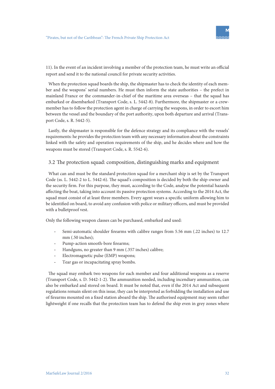

11). In the event of an incident involving a member of the protection team, he must write an official report and send it to the national council for private security activities.

When the protection squad boards the ship, the shipmaster has to check the identity of each member and the weapons' serial numbers. He must then inform the state authorities – the prefect in mainland France or the commander-in-chief of the maritime area overseas – that the squad has embarked or disembarked (Transport Code, s. L. 5442-8). Furthermore, the shipmaster or a crewmember has to follow the protection agent in charge of carrying the weapons, in order to escort him between the vessel and the boundary of the port authority, upon both departure and arrival (Transport Code, s. R. 5442-5).

Lastly, the shipmaster is responsible for the defence strategy and its compliance with the vessels' requirements: he provides the protection team with any necessary information about the constraints linked with the safety and operation requirements of the ship, and he decides where and how the weapons must be stored (Transport Code, s. R. 5542-6).

### 3.2 The protection squad: composition, distinguishing marks and equipment

What can and must be the standard protection squad for a merchant ship is set by the Transport Code (ss. L. 5442-2 to L. 5442-6). The squad's composition is decided by both the ship-owner and the security firm. For this purpose, they must, according to the Code, analyse the potential hazards affecting the boat, taking into account its passive protection systems. According to the 2014 Act, the squad must consist of at least three members. Every agent wears a specific uniform allowing him to be identified on board, to avoid any confusion with police or military officers, and must be provided with a bulletproof vest.

Only the following weapon classes can be purchased, embarked and used:

- Semi-automatic shoulder firearms with calibre ranges from 5.56 mm (.22 inches) to 12.7 mm (.50 inches):
- Pump-action smooth-bore firearms;
- Handguns, no greater than 9 mm (.357 inches) calibre;
- Electromagnetic pulse (EMP) weapons;
- Tear gas or incapacitating spray bombs.

The squad may embark two weapons for each member and four additional weapons as a reserve (Transport Code, s. D. 5442-1-2). The ammunition needed, including incendiary ammunition, can also be embarked and stored on board. It must be noted that, even if the 2014 Act and subsequent regulations remain silent on this issue, they can be interpreted as forbidding the installation and use of firearms mounted on a fixed station aboard the ship. The authorised equipment may seem rather lightweight if one recalls that the protection team has to defend the ship even in grey zones where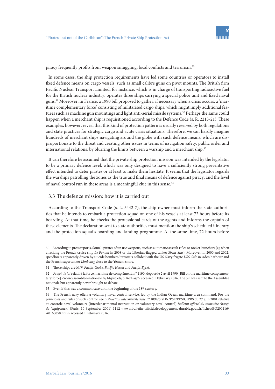piracy frequently profits from weapon smuggling, local conflicts and terrorism.<sup>30</sup>

In some cases, the ship protection requirements have led some countries or operators to install fixed defence means on cargo vessels, such as small calibre guns on pivot mounts. The British firm Pacific Nuclear Transport Limited, for instance, which is in charge of transporting radioactive fuel for the British nuclear industry, operates three ships carrying a special police unit and fixed naval guns.31 Moreover, in France, a 1990 bill proposed to gather, if necessary when a crisis occurs, a 'maritime complementary force' consisting of militarised cargo ships, which might imply additional features such as machine gun mountings and light anti-aerial missile systems.<sup>32</sup> Perhaps the same could happen when a merchant ship is requisitioned according to the Defence Code (s. R. 2213-21). These examples, however, reveal that this kind of protection pattern is usually reserved by both regulations and state practices for strategic cargo and acute crisis situations. Therefore, we can hardly imagine hundreds of merchant ships navigating around the globe with such defence means, which are disproportionate to the threat and creating other issues in terms of navigation safety, public order and international relations, by blurring the limits between a warship and a merchant ship.<sup>33</sup>

It can therefore be assumed that the private ship protection mission was intended by the legislator to be a primary defence level, which was only designed to have a sufficiently strong preventative effect intended to deter pirates or at least to make them hesitate. It seems that the legislator regards the warships patrolling the zones as the true and final means of defence against piracy, and the level of naval control run in these areas is a meaningful clue in this sense.<sup>34</sup>

### 3.3 The defence mission: how it is carried out

According to the Transport Code (s. L. 5442-7), the ship-owner must inform the state authorities that he intends to embark a protection squad on one of his vessels at least 72 hours before its boarding. At that time, he checks the professional cards of the agents and informs the captain of these elements. The declaration sent to state authorities must mention the ship's scheduled itinerary and the protection squad's boarding and landing programme. At the same time, 72 hours before

<sup>30</sup> According to press reports, Somali pirates often use weapons, such as automatic assault rifles or rocket launchers (eg when attacking the French cruise ship *Le Ponant* in 2008 or the Liberian-flagged tanker *Sirius Star*). Moreover, in 2000 and 2002, speedboats apparently driven by suicide bombers/terrorists collided with the US Navy frigate *USS Cole* in Aden harbour and the French supertanker *Limbourg* close to the Yemeni shore.

<sup>31</sup> These ships are M/V *Pacific Grebe, Pacific Heron* and *Pacific Egret.*

<sup>32</sup> *Projet de loi* relatif à la force maritime de complément, n° 1190, déposé le 2 avril 1990 [Bill on the maritime complementary force] <www.assemblee-nationale.fr/14/projets/pl1674.asp> accessed 1 February 2016. The bill was sent to the Assemblée nationale but apparently never brought to debate.

<sup>33</sup> Even if this was a common case until the beginning of the 18<sup>th</sup> century.

<sup>34</sup> The French navy offers a voluntary naval control service, led by the Indian Ocean maritime area command. For the principles and rules of such control, see *instruction interministérielle* n° 1094/SGDN/PSE/PPS/CIPRS du 27 juin 2001 relative au contrôle naval volontaire [Interdepartmental instruction on voluntary naval control] *Bulletin officiel du ministère chargé de l'équipement* (Paris, 10 September 2001) 1112 <www.bulletin-officiel.developpement-durable.gouv.fr/fiches/BO200116/ A0160050.htm> accessed 1 February 2016.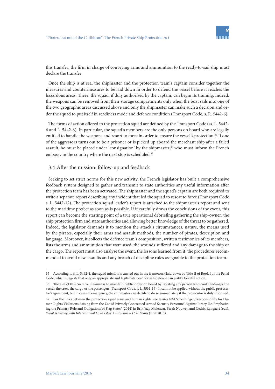this transfer, the firm in charge of conveying arms and ammunition to the ready-to-sail ship must declare the transfer.

Once the ship is at sea, the shipmaster and the protection team's captain consider together the measures and countermeasures to be laid down in order to defend the vessel before it reaches the hazardous areas. There, the squad, if duly authorised by the captain, can begin its training. Indeed, the weapons can be removed from their storage compartments only when the boat sails into one of the two geographic areas discussed above and only the shipmaster can make such a decision and order the squad to put itself in readiness mode and defence condition (Transport Code, s. R. 5442-6).

The forms of action offered to the protection squad are defined by the Transport Code (ss. L. 5442- 4 and L. 5442-6). In particular, the squad's members are the only persons on board who are legally entitled to handle the weapons and resort to force in order to ensure the vessel's protection.35 If one of the aggressors turns out to be a prisoner or is picked up aboard the merchant ship after a failed assault, he must be placed under 'consignation' by the shipmaster, $36$  who must inform the French embassy in the country where the next stop is scheduled.<sup>37</sup>

### 3.4 After the mission: follow-up and feedback

Seeking to set strict norms for this new activity, the French legislator has built a comprehensive feedback system designed to gather and transmit to state authorities any useful information after the protection team has been activated. The shipmaster and the squad's captain are both required to write a separate report describing any incident that led the squad to resort to force (Transport Code s. L. 5442-12). The protection squad leader's report is attached to the shipmaster's report and sent to the maritime prefect as soon as is possible. If it carefully draws the conclusions of the event, this report can become the starting point of a true operational debriefing gathering the ship-owner, the ship protection firm and state authorities and allowing better knowledge of the threat to be gathered. Indeed, the legislator demands it to mention the attack's circumstances, nature, the means used by the pirates, especially their arms and assault methods, the number of pirates, description and language. Moreover, it collects the defence team's composition, written testimonies of its members, lists the arms and ammunition that were used, the wounds suffered and any damage to the ship or the cargo. The report must also analyse the event, the lessons learned from it, the procedures recommended to avoid new assaults and any breach of discipline rules assignable to the protection team.

<sup>35</sup> According to s. L. 5442-4, the squad mission is carried out in the framework laid down by Title II of Book I of the Penal Code, which suggests that only an appropriate and legitimate need for self-defence can justify forceful action.

<sup>36</sup> The aim of this coercive measure is to maintain public order on board by isolating any person who could endanger the vessel, the crew, the cargo or the passengers (Transport Code, s. L. 5531-19). It cannot be applied without the public prosecutor's agreement, but in cases of emergency, the shipmaster can decide to do so immediately if the prosecutor is duly informed.

<sup>37</sup> For the links between the protection squad issue and human rights, see Jessica NM Schechinger, 'Responsibility for Human Rights Violations Arising from the Use of Privately Contracted Armed Security Personnel Against Piracy. Re-Emphasizing the Primary Role and Obligations of Flag States' (2014) in Erik Jaap Molenaar, Sarah Nouwen and Cedric Ryngaert (eds), *What is Wrong with International Law? Liber Amicorum A.H.A. Soons* (Brill 2015).